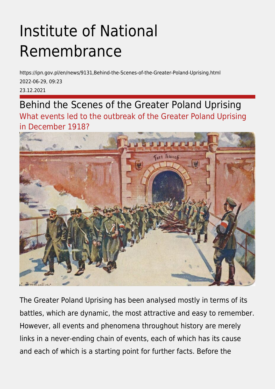## Institute of National Remembrance

https://ipn.gov.pl/en/news/9131,Behind-the-Scenes-of-the-Greater-Poland-Uprising.html 2022-06-29, 09:23 23.12.2021

Behind the Scenes of the Greater Poland Uprising What events led to the outbreak of the Greater Poland Uprising in December 1918?



The Greater Poland Uprising has been analysed mostly in terms of its battles, which are dynamic, the most attractive and easy to remember. However, all events and phenomena throughout history are merely links in a never-ending chain of events, each of which has its cause and each of which is a starting point for further facts. Before the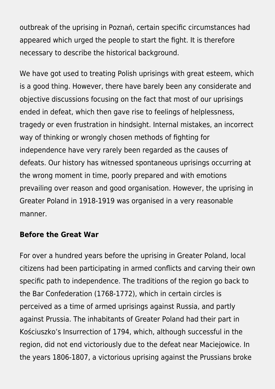outbreak of the uprising in Poznań, certain specific circumstances had appeared which urged the people to start the fight. It is therefore necessary to describe the historical background.

We have got used to treating Polish uprisings with great esteem, which is a good thing. However, there have barely been any considerate and objective discussions focusing on the fact that most of our uprisings ended in defeat, which then gave rise to feelings of helplessness, tragedy or even frustration in hindsight. Internal mistakes, an incorrect way of thinking or wrongly chosen methods of fighting for independence have very rarely been regarded as the causes of defeats. Our history has witnessed spontaneous uprisings occurring at the wrong moment in time, poorly prepared and with emotions prevailing over reason and good organisation. However, the uprising in Greater Poland in 1918-1919 was organised in a very reasonable manner.

## **Before the Great War**

For over a hundred years before the uprising in Greater Poland, local citizens had been participating in armed conflicts and carving their own specific path to independence. The traditions of the region go back to the Bar Confederation (1768-1772), which in certain circles is perceived as a time of armed uprisings against Russia, and partly against Prussia. The inhabitants of Greater Poland had their part in Kościuszko's Insurrection of 1794, which, although successful in the region, did not end victoriously due to the defeat near Maciejowice. In the years 1806-1807, a victorious uprising against the Prussians broke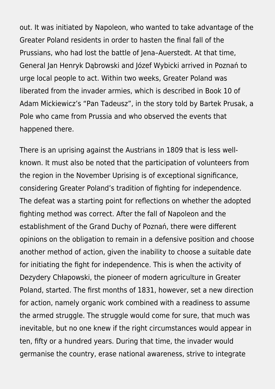out. It was initiated by Napoleon, who wanted to take advantage of the Greater Poland residents in order to hasten the final fall of the Prussians, who had lost the battle of Jena–Auerstedt. At that time, General Jan Henryk Dąbrowski and Józef Wybicki arrived in Poznań to urge local people to act. Within two weeks, Greater Poland was liberated from the invader armies, which is described in Book 10 of Adam Mickiewicz's "Pan Tadeusz", in the story told by Bartek Prusak, a Pole who came from Prussia and who observed the events that happened there.

There is an uprising against the Austrians in 1809 that is less wellknown. It must also be noted that the participation of volunteers from the region in the November Uprising is of exceptional significance, considering Greater Poland's tradition of fighting for independence. The defeat was a starting point for reflections on whether the adopted fighting method was correct. After the fall of Napoleon and the establishment of the Grand Duchy of Poznań, there were different opinions on the obligation to remain in a defensive position and choose another method of action, given the inability to choose a suitable date for initiating the fight for independence. This is when the activity of Dezydery Chłapowski, the pioneer of modern agriculture in Greater Poland, started. The first months of 1831, however, set a new direction for action, namely organic work combined with a readiness to assume the armed struggle. The struggle would come for sure, that much was inevitable, but no one knew if the right circumstances would appear in ten, fifty or a hundred years. During that time, the invader would germanise the country, erase national awareness, strive to integrate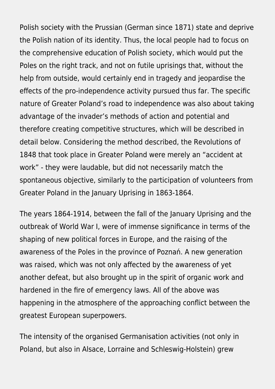Polish society with the Prussian (German since 1871) state and deprive the Polish nation of its identity. Thus, the local people had to focus on the comprehensive education of Polish society, which would put the Poles on the right track, and not on futile uprisings that, without the help from outside, would certainly end in tragedy and jeopardise the effects of the pro-independence activity pursued thus far. The specific nature of Greater Poland's road to independence was also about taking advantage of the invader's methods of action and potential and therefore creating competitive structures, which will be described in detail below. Considering the method described, the Revolutions of 1848 that took place in Greater Poland were merely an "accident at work" - they were laudable, but did not necessarily match the spontaneous objective, similarly to the participation of volunteers from Greater Poland in the January Uprising in 1863-1864.

The years 1864-1914, between the fall of the January Uprising and the outbreak of World War I, were of immense significance in terms of the shaping of new political forces in Europe, and the raising of the awareness of the Poles in the province of Poznań. A new generation was raised, which was not only affected by the awareness of yet another defeat, but also brought up in the spirit of organic work and hardened in the fire of emergency laws. All of the above was happening in the atmosphere of the approaching conflict between the greatest European superpowers.

The intensity of the organised Germanisation activities (not only in Poland, but also in Alsace, Lorraine and Schleswig-Holstein) grew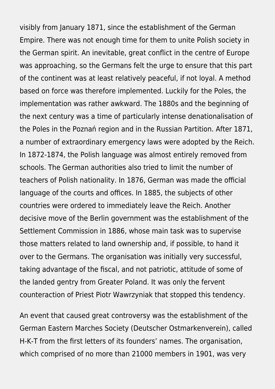visibly from January 1871, since the establishment of the German Empire. There was not enough time for them to unite Polish society in the German spirit. An inevitable, great conflict in the centre of Europe was approaching, so the Germans felt the urge to ensure that this part of the continent was at least relatively peaceful, if not loyal. A method based on force was therefore implemented. Luckily for the Poles, the implementation was rather awkward. The 1880s and the beginning of the next century was a time of particularly intense denationalisation of the Poles in the Poznań region and in the Russian Partition. After 1871, a number of extraordinary emergency laws were adopted by the Reich. In 1872-1874, the Polish language was almost entirely removed from schools. The German authorities also tried to limit the number of teachers of Polish nationality. In 1876, German was made the official language of the courts and offices. In 1885, the subjects of other countries were ordered to immediately leave the Reich. Another decisive move of the Berlin government was the establishment of the Settlement Commission in 1886, whose main task was to supervise those matters related to land ownership and, if possible, to hand it over to the Germans. The organisation was initially very successful, taking advantage of the fiscal, and not patriotic, attitude of some of the landed gentry from Greater Poland. It was only the fervent counteraction of Priest Piotr Wawrzyniak that stopped this tendency.

An event that caused great controversy was the establishment of the German Eastern Marches Society (Deutscher Ostmarkenverein), called H-K-T from the first letters of its founders' names. The organisation, which comprised of no more than 21000 members in 1901, was very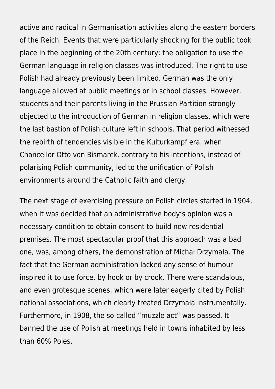active and radical in Germanisation activities along the eastern borders of the Reich. Events that were particularly shocking for the public took place in the beginning of the 20th century: the obligation to use the German language in religion classes was introduced. The right to use Polish had already previously been limited. German was the only language allowed at public meetings or in school classes. However, students and their parents living in the Prussian Partition strongly objected to the introduction of German in religion classes, which were the last bastion of Polish culture left in schools. That period witnessed the rebirth of tendencies visible in the Kulturkampf era, when Chancellor Otto von Bismarck, contrary to his intentions, instead of polarising Polish community, led to the unification of Polish environments around the Catholic faith and clergy.

The next stage of exercising pressure on Polish circles started in 1904, when it was decided that an administrative body's opinion was a necessary condition to obtain consent to build new residential premises. The most spectacular proof that this approach was a bad one, was, among others, the demonstration of Michał Drzymała. The fact that the German administration lacked any sense of humour inspired it to use force, by hook or by crook. There were scandalous, and even grotesque scenes, which were later eagerly cited by Polish national associations, which clearly treated Drzymała instrumentally. Furthermore, in 1908, the so-called "muzzle act" was passed. It banned the use of Polish at meetings held in towns inhabited by less than 60% Poles.